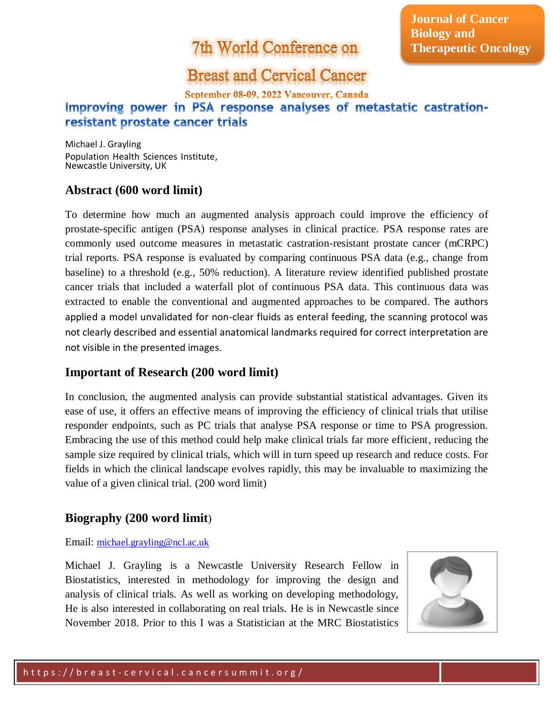# 7th World Conference on

**Journal of Cancer Biology and Therapeutic Oncology**

### **Breast and Cervical Cancer**

September 08-09, 2022 Vancouver, Canada

### Improving power in PSA response analyses of metastatic castrationresistant prostate cancer trials

Michael J. Grayling Population Health Sciences Institute, Newcastle University, UK

#### **Abstract (600 word limit)**

To determine how much an augmented analysis approach could improve the efficiency of prostate-specific antigen (PSA) response analyses in clinical practice. PSA response rates are commonly used outcome measures in metastatic castration-resistant prostate cancer (mCRPC) trial reports. PSA response is evaluated by comparing continuous PSA data (e.g., change from baseline) to a threshold (e.g., 50% reduction). A literature review identified published prostate cancer trials that included a waterfall plot of continuous PSA data. This continuous data was extracted to enable the conventional and augmented approaches to be compared. The authors applied a model unvalidated for non-clear fluids as enteral feeding, the scanning protocol was not clearly described and essential anatomical landmarks required for correct interpretation are not visible in the presented images.

#### **Important of Research (200 word limit)**

In conclusion, the augmented analysis can provide substantial statistical advantages. Given its ease of use, it offers an effective means of improving the efficiency of clinical trials that utilise responder endpoints, such as PC trials that analyse PSA response or time to PSA progression. Embracing the use of this method could help make clinical trials far more efficient, reducing the sample size required by clinical trials, which will in turn speed up research and reduce costs. For fields in which the clinical landscape evolves rapidly, this may be invaluable to maximizing the value of a given clinical trial. (200 word limit)

#### **Biography (200 word limit**)

#### Email: [michael.grayling@ncl.ac.uk](mailto:michael.grayling@ncl.ac.uk)

Michael J. Grayling is a Newcastle University Research Fellow in Biostatistics, interested in methodology for improving the design and analysis of clinical trials. As well as working on developing methodology, He is also interested in collaborating on real trials. He is in Newcastle since November 2018. Prior to this I was a Statistician at the MRC Biostatistics

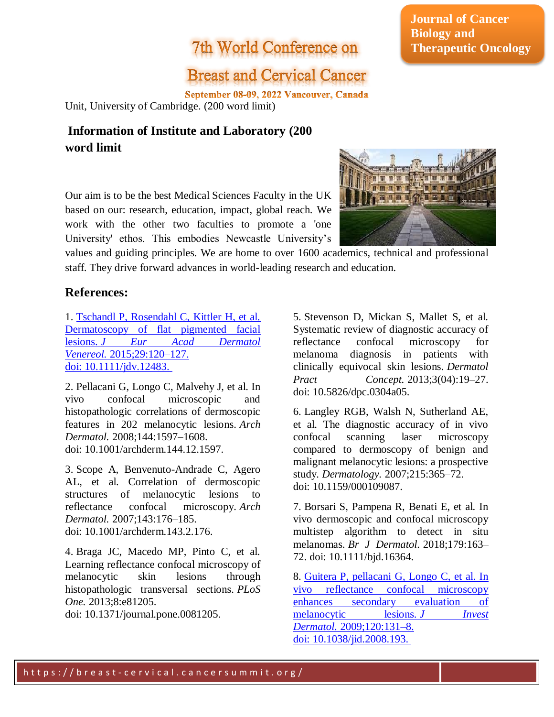## 7th World Conference on

# **Breast and Cervical Cancer**

September 08-09, 2022 Vancouver, Canada Unit, University of Cambridge. (200 word limit)

### **Information of Institute and Laboratory (200 word limit**

Our aim is to be the best Medical Sciences Faculty in the UK based on our: research, education, impact, global reach. We work with the other two faculties to promote a 'one University' ethos. This embodies Newcastle University's

**IN THE REGEN** 

values and guiding principles. We are home to over 1600 academics, technical and professional staff. They drive forward advances in world-leading research and education.

#### **References:**

1. [Tschandl P, Rosendahl C, Kittler H, et al.](file:///C:/Users/omics/Desktop/longdom.org/cancer-research-immuno-oncology/archive.html)  [Dermatoscopy of flat pigmented facial](file:///C:/Users/omics/Desktop/longdom.org/cancer-research-immuno-oncology/archive.html)  lesions. *[J Eur Acad Dermatol](file:///C:/Users/omics/Desktop/longdom.org/cancer-research-immuno-oncology/archive.html)  Venereol.* [2015;29:120–127.](file:///C:/Users/omics/Desktop/longdom.org/cancer-research-immuno-oncology/archive.html)  doi: [10.1111/jdv.12483.](file:///C:/Users/omics/Desktop/longdom.org/cancer-research-immuno-oncology/archive.html)

2. Pellacani G, Longo C, Malvehy J, et al. In vivo confocal microscopic and histopathologic correlations of dermoscopic features in 202 melanocytic lesions. *Arch Dermatol.* 2008;144:1597–1608. doi: 10.1001/archderm.144.12.1597.

3. Scope A, Benvenuto-Andrade C, Agero AL, et al. Correlation of dermoscopic structures of melanocytic lesions to reflectance confocal microscopy. *Arch Dermatol.* 2007;143:176–185. doi: 10.1001/archderm.143.2.176.

4. Braga JC, Macedo MP, Pinto C, et al. Learning reflectance confocal microscopy of melanocytic skin lesions through histopathologic transversal sections. *PLoS One.* 2013;8:e81205.

doi: 10.1371/journal.pone.0081205.

5. Stevenson D, Mickan S, Mallet S, et al. Systematic review of diagnostic accuracy of reflectance confocal microscopy for melanoma diagnosis in patients with clinically equivocal skin lesions. *Dermatol Pract Concept.* 2013;3(04):19–27. doi: 10.5826/dpc.0304a05.

6. Langley RGB, Walsh N, Sutherland AE, et al. The diagnostic accuracy of in vivo confocal scanning laser microscopy compared to dermoscopy of benign and malignant melanocytic lesions: a prospective study. *Dermatology.* 2007;215:365–72. doi: 10.1159/000109087.

7. Borsari S, Pampena R, Benati E, et al. In vivo dermoscopic and confocal microscopy multistep algorithm to detect in situ melanomas. *Br J Dermatol.* 2018;179:163– 72. doi: 10.1111/bjd.16364.

8. Guitera P, pellacani [G, Longo C, et al. In](file:///C:/Users/omics/Desktop/longdom.org/cancer-research-immuno-oncology/archive.html)  [vivo reflectance confocal microscopy](file:///C:/Users/omics/Desktop/longdom.org/cancer-research-immuno-oncology/archive.html)  [enhances secondary evaluation of](file:///C:/Users/omics/Desktop/longdom.org/cancer-research-immuno-oncology/archive.html)  [melanocytic lesions.](file:///C:/Users/omics/Desktop/longdom.org/cancer-research-immuno-oncology/archive.html) *J Invest Dermatol.* [2009;120:131–8.](file:///C:/Users/omics/Desktop/longdom.org/cancer-research-immuno-oncology/archive.html)  doi: [10.1038/jid.2008.193.](file:///C:/Users/omics/Desktop/longdom.org/cancer-research-immuno-oncology/archive.html)

### **Journal of Cancer Biology and Therapeutic Oncology**